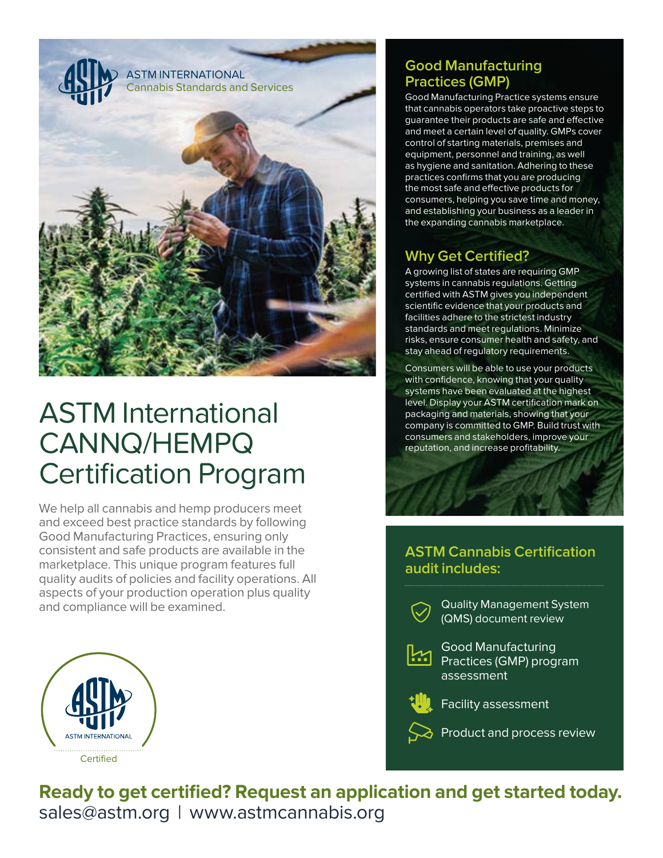

# ASTM International CANNQ/HEMPQ Certification Program

We help all cannabis and hemp producers meet and exceed best practice standards by following Good Manufacturing Practices, ensuring only consistent and safe products are available in the marketplace. This unique program features full quality audits of policies and facility operations. All aspects of your production operation plus quality and compliance will be examined.



### **Good Manufacturing Practices (GMP)**

Good Manufacturing Practice systems ensure that cannabis operators take proactive steps to guarantee their products are safe and effective and meet a certain level of quality. GMPs cover control of starting materials, premises and equipment, personnel and training, as well as hygiene and sanitation. Adhering to these practices confirms that you are producing the most safe and effective products for consumers, helping you save time and money, and establishing your business as a leader in the expanding cannabis marketplace.

### **Why Get Certified?**

A growing list of states are requiring GMP systems in cannabis regulations. Getting certified with ASTM gives you independent scientific evidence that your products and facilities adhere to the strictest industry standards and meet regulations. Minimize risks, ensure consumer health and safety, and stay ahead of regulatory requirements.

Consumers will be able to use your products with confidence, knowing that your quality systems have been evaluated at the highest level. Display your ASTM certification mark on packaging and materials, showing that your company is committed to GMP. Build trust with consumers and stakeholders, improve your reputation, and increase profitability.

### **ASTM Cannabis Certification audit includes:**



Quality Management System (QMS) document review



Good Manufacturing **Practices (GMP) program** assessment



Facility assessment

 $\delta$  Product and process review

**Ready to get certified? Request an application and get started today.** sales@astm.org | www.astmcannabis.org